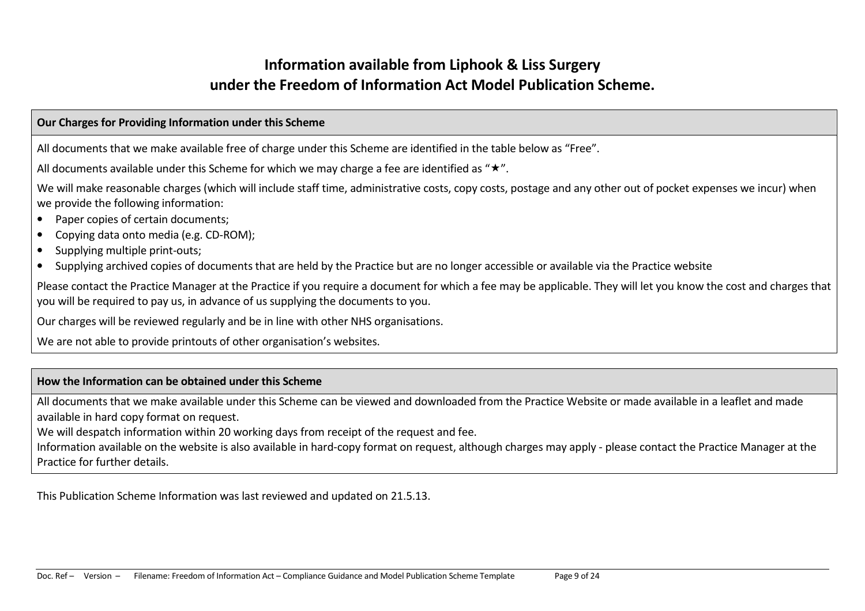# Information available from Liphook & Liss Surgery under the Freedom of Information Act Model Publication Scheme.

### Our Charges for Providing Information under this Scheme

All documents that we make available free of charge under this Scheme are identified in the table below as "Free".

All documents available under this Scheme for which we may charge a fee are identified as " $\star$ ".

We will make reasonable charges (which will include staff time, administrative costs, copy costs, postage and any other out of pocket expenses we incur) when we provide the following information:

- $\bullet$ Paper copies of certain documents;
- Copying data onto media (e.g. CD-ROM);
- $\bullet$ Supplying multiple print-outs;
- Supplying archived copies of documents that are held by the Practice but are no longer accessible or available via the Practice website

Please contact the Practice Manager at the Practice if you require a document for which a fee may be applicable. They will let you know the cost and charges that you will be required to pay us, in advance of us supplying the documents to you.

Our charges will be reviewed regularly and be in line with other NHS organisations.

We are not able to provide printouts of other organisation's websites.

## How the Information can be obtained under this Scheme

All documents that we make available under this Scheme can be viewed and downloaded from the Practice Website or made available in a leaflet and made available in hard copy format on request.

We will despatch information within 20 working days from receipt of the request and fee.

Information available on the website is also available in hard-copy format on request, although charges may apply - please contact the Practice Manager at the Practice for further details.

This Publication Scheme Information was last reviewed and updated on 21.5.13.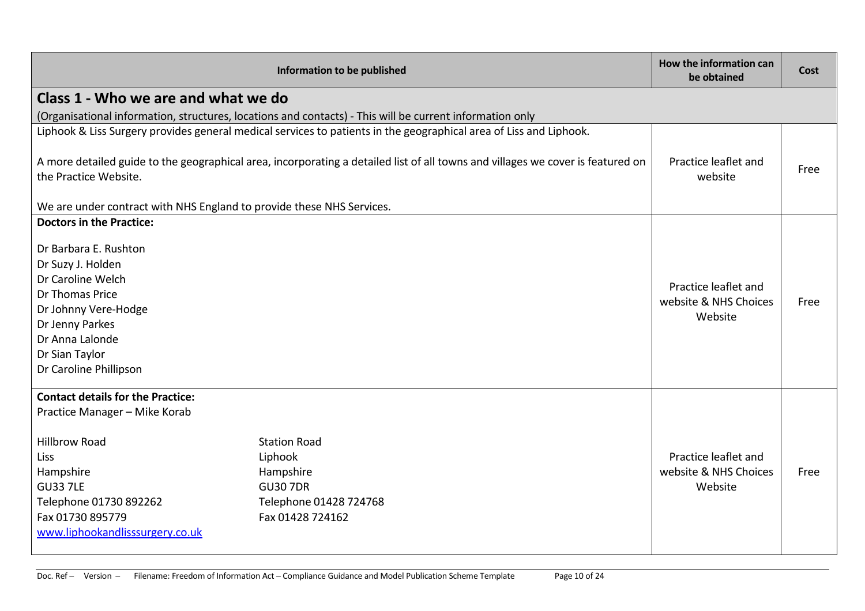| Information to be published                                                                                                                                                                                                |                                                                                                                                 | How the information can<br>be obtained                   | Cost |
|----------------------------------------------------------------------------------------------------------------------------------------------------------------------------------------------------------------------------|---------------------------------------------------------------------------------------------------------------------------------|----------------------------------------------------------|------|
| Class 1 - Who we are and what we do                                                                                                                                                                                        |                                                                                                                                 |                                                          |      |
|                                                                                                                                                                                                                            | (Organisational information, structures, locations and contacts) - This will be current information only                        |                                                          |      |
|                                                                                                                                                                                                                            | Liphook & Liss Surgery provides general medical services to patients in the geographical area of Liss and Liphook.              |                                                          |      |
|                                                                                                                                                                                                                            | A more detailed guide to the geographical area, incorporating a detailed list of all towns and villages we cover is featured on | Practice leaflet and                                     |      |
| the Practice Website.                                                                                                                                                                                                      |                                                                                                                                 | website                                                  | Free |
| We are under contract with NHS England to provide these NHS Services.                                                                                                                                                      |                                                                                                                                 |                                                          |      |
| <b>Doctors in the Practice:</b>                                                                                                                                                                                            |                                                                                                                                 |                                                          |      |
| Dr Barbara E. Rushton<br>Dr Suzy J. Holden<br>Dr Caroline Welch<br>Dr Thomas Price<br>Dr Johnny Vere-Hodge<br>Dr Jenny Parkes<br>Dr Anna Lalonde<br>Dr Sian Taylor<br>Dr Caroline Phillipson                               |                                                                                                                                 | Practice leaflet and<br>website & NHS Choices<br>Website | Free |
| <b>Contact details for the Practice:</b><br>Practice Manager - Mike Korab<br><b>Hillbrow Road</b><br>Liss<br>Hampshire<br><b>GU33 7LE</b><br>Telephone 01730 892262<br>Fax 01730 895779<br>www.liphookandlisssurgery.co.uk | <b>Station Road</b><br>Liphook<br>Hampshire<br><b>GU30 7DR</b><br>Telephone 01428 724768<br>Fax 01428 724162                    | Practice leaflet and<br>website & NHS Choices<br>Website | Free |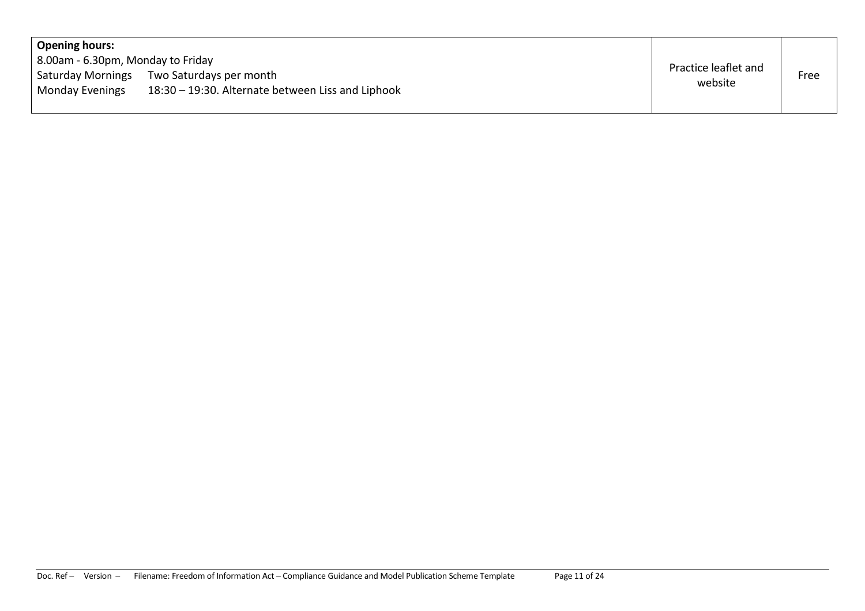| <b>Opening hours:</b>             |                                                   |                      |      |
|-----------------------------------|---------------------------------------------------|----------------------|------|
| 8.00am - 6.30pm, Monday to Friday |                                                   | Practice leaflet and |      |
|                                   | Saturday Mornings Two Saturdays per month         | website              | Free |
| <b>Monday Evenings</b>            | 18:30 - 19:30. Alternate between Liss and Liphook |                      |      |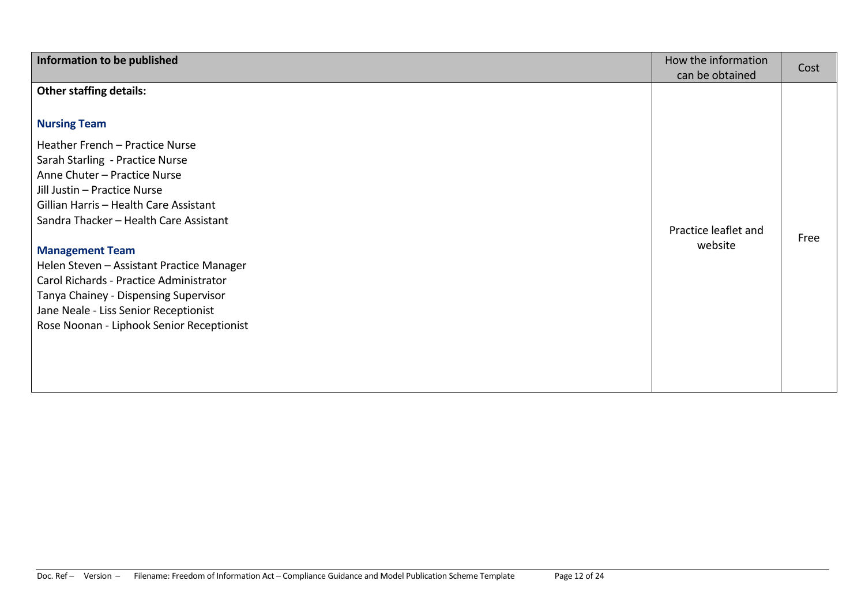| Information to be published                                                                                                                                                                                                                                                                                                                                                                                                                                                                                                      | How the information<br>can be obtained | Cost |
|----------------------------------------------------------------------------------------------------------------------------------------------------------------------------------------------------------------------------------------------------------------------------------------------------------------------------------------------------------------------------------------------------------------------------------------------------------------------------------------------------------------------------------|----------------------------------------|------|
| <b>Other staffing details:</b><br><b>Nursing Team</b><br>Heather French - Practice Nurse<br>Sarah Starling - Practice Nurse<br>Anne Chuter - Practice Nurse<br>Jill Justin - Practice Nurse<br>Gillian Harris - Health Care Assistant<br>Sandra Thacker - Health Care Assistant<br><b>Management Team</b><br>Helen Steven - Assistant Practice Manager<br>Carol Richards - Practice Administrator<br>Tanya Chainey - Dispensing Supervisor<br>Jane Neale - Liss Senior Receptionist<br>Rose Noonan - Liphook Senior Receptionist | Practice leaflet and<br>website        | Free |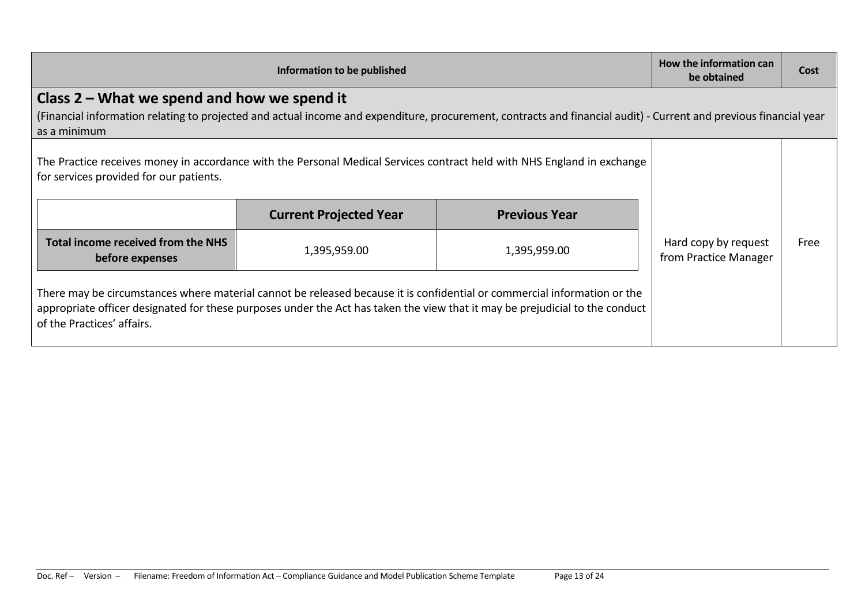| Information to be published                                                                                                                                                                                                                                                            |                               | How the information can<br>be obtained | Cost                                          |      |
|----------------------------------------------------------------------------------------------------------------------------------------------------------------------------------------------------------------------------------------------------------------------------------------|-------------------------------|----------------------------------------|-----------------------------------------------|------|
| Class 2 – What we spend and how we spend it<br>(Financial information relating to projected and actual income and expenditure, procurement, contracts and financial audit) - Current and previous financial year                                                                       |                               |                                        |                                               |      |
| as a minimum                                                                                                                                                                                                                                                                           |                               |                                        |                                               |      |
| The Practice receives money in accordance with the Personal Medical Services contract held with NHS England in exchange<br>for services provided for our patients.                                                                                                                     |                               |                                        |                                               |      |
|                                                                                                                                                                                                                                                                                        | <b>Current Projected Year</b> | <b>Previous Year</b>                   |                                               |      |
| Total income received from the NHS<br>before expenses                                                                                                                                                                                                                                  | 1,395,959.00                  | 1,395,959.00                           | Hard copy by request<br>from Practice Manager | Free |
| There may be circumstances where material cannot be released because it is confidential or commercial information or the<br>appropriate officer designated for these purposes under the Act has taken the view that it may be prejudicial to the conduct<br>of the Practices' affairs. |                               |                                        |                                               |      |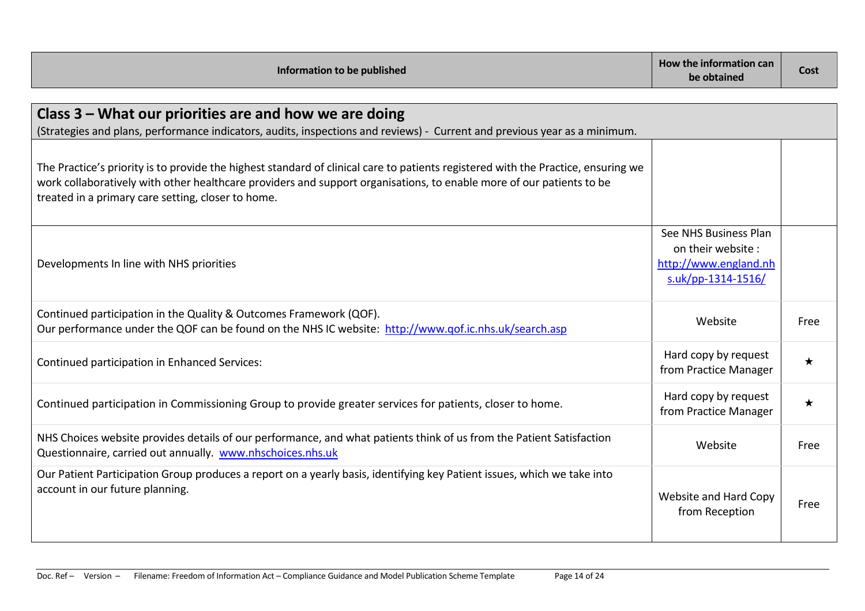| Information to be published                                                                                                                                                                                                                                                                                     | How the information can<br>be obtained                                                    | Cost        |
|-----------------------------------------------------------------------------------------------------------------------------------------------------------------------------------------------------------------------------------------------------------------------------------------------------------------|-------------------------------------------------------------------------------------------|-------------|
| Class 3 – What our priorities are and how we are doing<br>(Strategies and plans, performance indicators, audits, inspections and reviews) - Current and previous year as a minimum.                                                                                                                             |                                                                                           |             |
| The Practice's priority is to provide the highest standard of clinical care to patients registered with the Practice, ensuring we<br>work collaboratively with other healthcare providers and support organisations, to enable more of our patients to be<br>treated in a primary care setting, closer to home. |                                                                                           |             |
| Developments In line with NHS priorities                                                                                                                                                                                                                                                                        | See NHS Business Plan<br>on their website:<br>http://www.england.nh<br>s.uk/pp-1314-1516/ |             |
| Continued participation in the Quality & Outcomes Framework (QOF).<br>Our performance under the QOF can be found on the NHS IC website: http://www.gof.ic.nhs.uk/search.asp                                                                                                                                     | Website                                                                                   | <b>Free</b> |
| Continued participation in Enhanced Services:                                                                                                                                                                                                                                                                   | Hard copy by request<br>from Practice Manager                                             | $\star$     |
| Continued participation in Commissioning Group to provide greater services for patients, closer to home.                                                                                                                                                                                                        | Hard copy by request<br>from Practice Manager                                             | ★           |
| NHS Choices website provides details of our performance, and what patients think of us from the Patient Satisfaction<br>Questionnaire, carried out annually. www.nhschoices.nhs.uk                                                                                                                              | Website                                                                                   | Free        |
| Our Patient Participation Group produces a report on a yearly basis, identifying key Patient issues, which we take into<br>account in our future planning.                                                                                                                                                      | Website and Hard Copy<br>from Reception                                                   | Free        |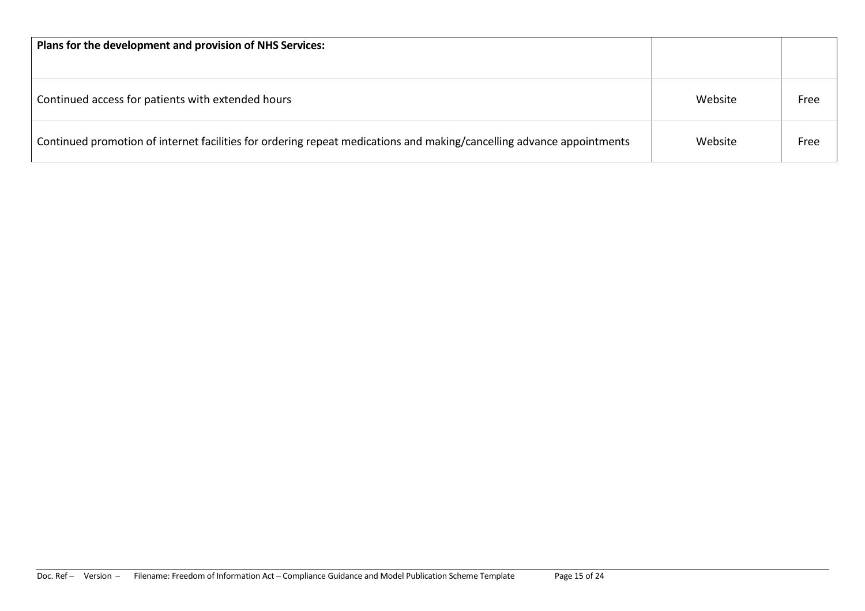| Plans for the development and provision of NHS Services:                                                              |         |      |
|-----------------------------------------------------------------------------------------------------------------------|---------|------|
| Continued access for patients with extended hours                                                                     | Website | Free |
| Continued promotion of internet facilities for ordering repeat medications and making/cancelling advance appointments | Website | Free |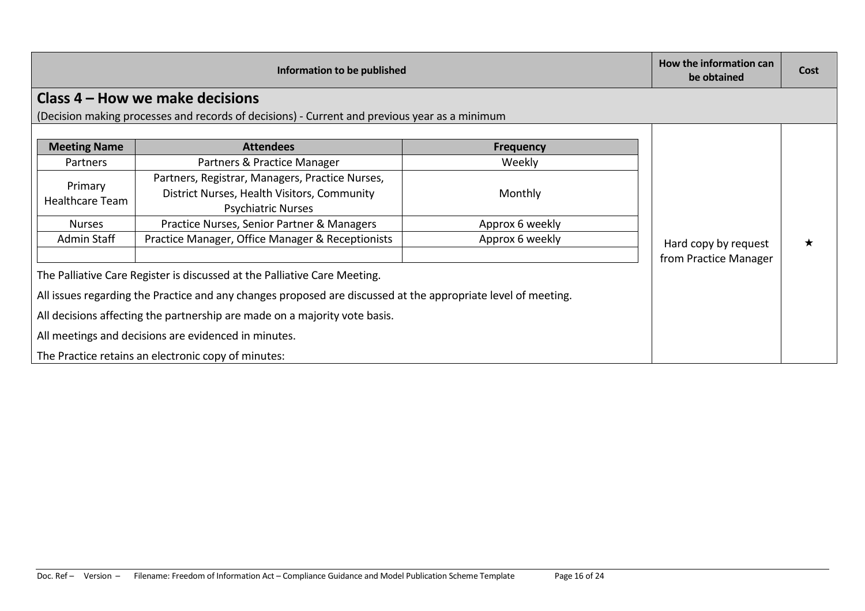| Information to be published                                                                                                                                                                 |                                                                                                                                  | How the information can<br>be obtained | Cost                  |  |
|---------------------------------------------------------------------------------------------------------------------------------------------------------------------------------------------|----------------------------------------------------------------------------------------------------------------------------------|----------------------------------------|-----------------------|--|
|                                                                                                                                                                                             | Class 4 – How we make decisions<br>(Decision making processes and records of decisions) - Current and previous year as a minimum |                                        |                       |  |
| <b>Meeting Name</b>                                                                                                                                                                         | <b>Attendees</b>                                                                                                                 | <b>Frequency</b>                       |                       |  |
| Partners                                                                                                                                                                                    | Partners & Practice Manager                                                                                                      | Weekly                                 |                       |  |
| Primary<br>Healthcare Team                                                                                                                                                                  | Partners, Registrar, Managers, Practice Nurses,<br>District Nurses, Health Visitors, Community<br><b>Psychiatric Nurses</b>      | Monthly                                |                       |  |
| <b>Nurses</b>                                                                                                                                                                               | Practice Nurses, Senior Partner & Managers                                                                                       | Approx 6 weekly                        |                       |  |
| <b>Admin Staff</b>                                                                                                                                                                          | Practice Manager, Office Manager & Receptionists                                                                                 | Approx 6 weekly                        | Hard copy by request  |  |
|                                                                                                                                                                                             |                                                                                                                                  |                                        | from Practice Manager |  |
|                                                                                                                                                                                             | The Palliative Care Register is discussed at the Palliative Care Meeting.                                                        |                                        |                       |  |
| All issues regarding the Practice and any changes proposed are discussed at the appropriate level of meeting.<br>All decisions affecting the partnership are made on a majority vote basis. |                                                                                                                                  |                                        |                       |  |
|                                                                                                                                                                                             |                                                                                                                                  |                                        |                       |  |
| All meetings and decisions are evidenced in minutes.                                                                                                                                        |                                                                                                                                  |                                        |                       |  |
|                                                                                                                                                                                             | The Practice retains an electronic copy of minutes:                                                                              |                                        |                       |  |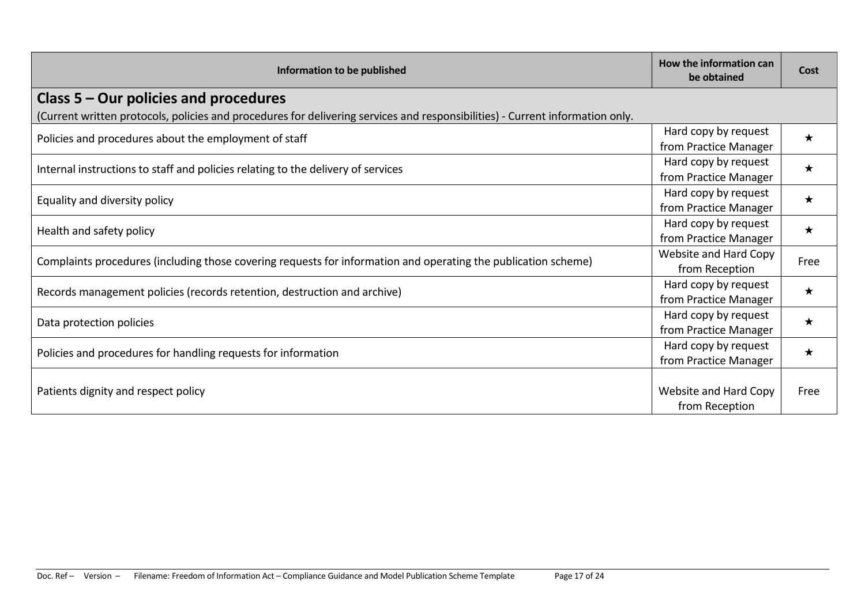| Information to be published                                                                                                   | How the information can<br>be obtained        | Cost    |
|-------------------------------------------------------------------------------------------------------------------------------|-----------------------------------------------|---------|
| Class $5 -$ Our policies and procedures                                                                                       |                                               |         |
| (Current written protocols, policies and procedures for delivering services and responsibilities) - Current information only. |                                               |         |
| Policies and procedures about the employment of staff                                                                         | Hard copy by request<br>from Practice Manager | $\star$ |
| Internal instructions to staff and policies relating to the delivery of services                                              | Hard copy by request<br>from Practice Manager | $\star$ |
| Equality and diversity policy                                                                                                 | Hard copy by request<br>from Practice Manager | $\star$ |
| Health and safety policy                                                                                                      | Hard copy by request<br>from Practice Manager | $\star$ |
| Complaints procedures (including those covering requests for information and operating the publication scheme)                | Website and Hard Copy<br>from Reception       | Free    |
| Records management policies (records retention, destruction and archive)                                                      | Hard copy by request<br>from Practice Manager | $\star$ |
| Data protection policies                                                                                                      | Hard copy by request<br>from Practice Manager | $\star$ |
| Policies and procedures for handling requests for information                                                                 | Hard copy by request<br>from Practice Manager | $\star$ |
| Patients dignity and respect policy                                                                                           | Website and Hard Copy<br>from Reception       | Free    |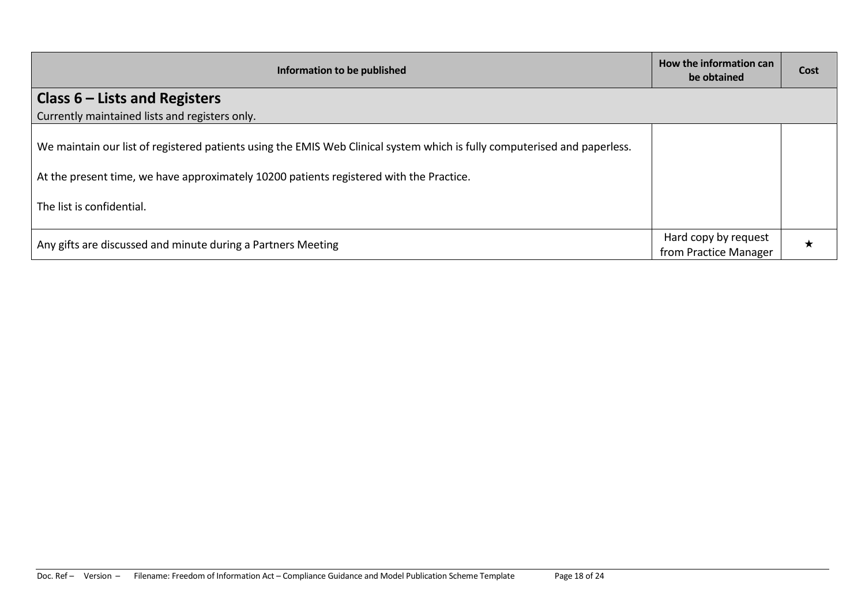| Information to be published                                                                                                                                                                                                                       | How the information can<br>be obtained        | Cost |
|---------------------------------------------------------------------------------------------------------------------------------------------------------------------------------------------------------------------------------------------------|-----------------------------------------------|------|
| Class $6$ – Lists and Registers                                                                                                                                                                                                                   |                                               |      |
| Currently maintained lists and registers only.                                                                                                                                                                                                    |                                               |      |
| We maintain our list of registered patients using the EMIS Web Clinical system which is fully computerised and paperless.<br>At the present time, we have approximately 10200 patients registered with the Practice.<br>The list is confidential. |                                               |      |
| Any gifts are discussed and minute during a Partners Meeting                                                                                                                                                                                      | Hard copy by request<br>from Practice Manager | ★    |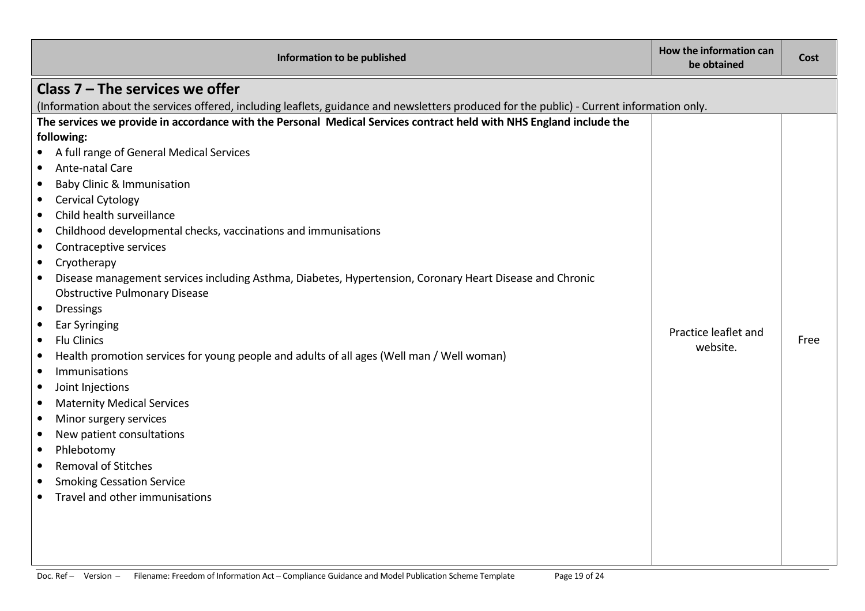| Class $7$ – The services we offer<br>(Information about the services offered, including leaflets, guidance and newsletters produced for the public) - Current information only.<br>The services we provide in accordance with the Personal Medical Services contract held with NHS England include the<br>following: |
|----------------------------------------------------------------------------------------------------------------------------------------------------------------------------------------------------------------------------------------------------------------------------------------------------------------------|
|                                                                                                                                                                                                                                                                                                                      |
|                                                                                                                                                                                                                                                                                                                      |
|                                                                                                                                                                                                                                                                                                                      |
|                                                                                                                                                                                                                                                                                                                      |
| A full range of General Medical Services                                                                                                                                                                                                                                                                             |
| Ante-natal Care<br>$\bullet$                                                                                                                                                                                                                                                                                         |
| <b>Baby Clinic &amp; Immunisation</b><br>$\bullet$                                                                                                                                                                                                                                                                   |
| <b>Cervical Cytology</b><br>$\bullet$                                                                                                                                                                                                                                                                                |
| Child health surveillance<br>$\bullet$                                                                                                                                                                                                                                                                               |
| Childhood developmental checks, vaccinations and immunisations<br>$\bullet$                                                                                                                                                                                                                                          |
| Contraceptive services<br>$\bullet$                                                                                                                                                                                                                                                                                  |
| Cryotherapy<br>$\bullet$                                                                                                                                                                                                                                                                                             |
| Disease management services including Asthma, Diabetes, Hypertension, Coronary Heart Disease and Chronic<br>$\bullet$                                                                                                                                                                                                |
| <b>Obstructive Pulmonary Disease</b>                                                                                                                                                                                                                                                                                 |
| <b>Dressings</b><br>$\bullet$                                                                                                                                                                                                                                                                                        |
| <b>Ear Syringing</b><br>$\bullet$<br>Practice leaflet and                                                                                                                                                                                                                                                            |
| <b>Flu Clinics</b><br>Free<br>$\bullet$<br>website.                                                                                                                                                                                                                                                                  |
| Health promotion services for young people and adults of all ages (Well man / Well woman)<br>$\bullet$                                                                                                                                                                                                               |
| Immunisations<br>$\bullet$                                                                                                                                                                                                                                                                                           |
| Joint Injections<br>$\bullet$                                                                                                                                                                                                                                                                                        |
| <b>Maternity Medical Services</b><br>$\bullet$                                                                                                                                                                                                                                                                       |
| Minor surgery services<br>$\bullet$                                                                                                                                                                                                                                                                                  |
| New patient consultations<br>$\bullet$                                                                                                                                                                                                                                                                               |
| Phlebotomy<br>$\bullet$                                                                                                                                                                                                                                                                                              |
| <b>Removal of Stitches</b><br>$\bullet$                                                                                                                                                                                                                                                                              |
| <b>Smoking Cessation Service</b><br>$\bullet$                                                                                                                                                                                                                                                                        |
| Travel and other immunisations                                                                                                                                                                                                                                                                                       |
|                                                                                                                                                                                                                                                                                                                      |
|                                                                                                                                                                                                                                                                                                                      |
|                                                                                                                                                                                                                                                                                                                      |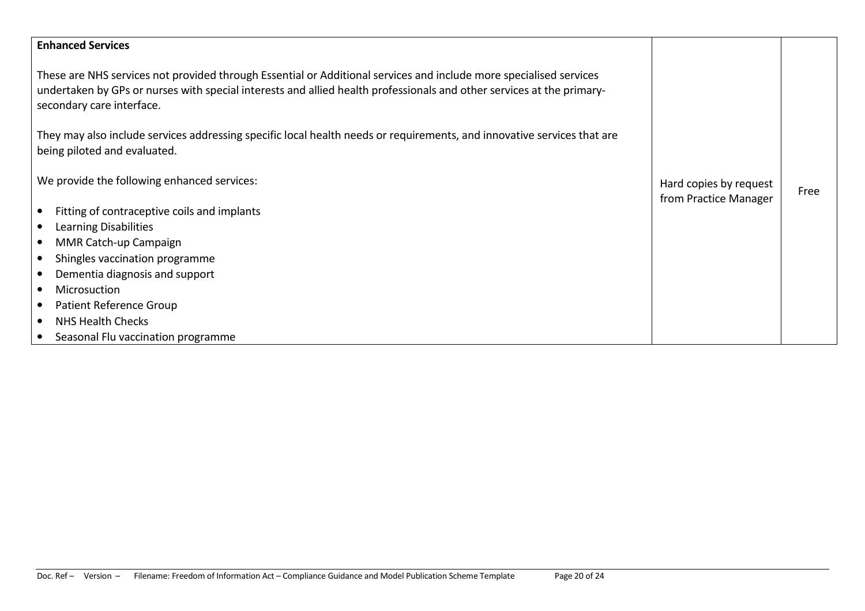| <b>Enhanced Services</b>                                                                                                                                                                                                                                                 |                                                 |      |
|--------------------------------------------------------------------------------------------------------------------------------------------------------------------------------------------------------------------------------------------------------------------------|-------------------------------------------------|------|
| These are NHS services not provided through Essential or Additional services and include more specialised services<br>undertaken by GPs or nurses with special interests and allied health professionals and other services at the primary-<br>secondary care interface. |                                                 |      |
| They may also include services addressing specific local health needs or requirements, and innovative services that are<br>being piloted and evaluated.                                                                                                                  |                                                 |      |
| We provide the following enhanced services:                                                                                                                                                                                                                              | Hard copies by request<br>from Practice Manager | Free |
| Fitting of contraceptive coils and implants                                                                                                                                                                                                                              |                                                 |      |
| Learning Disabilities<br>٠                                                                                                                                                                                                                                               |                                                 |      |
| MMR Catch-up Campaign<br>$\bullet$                                                                                                                                                                                                                                       |                                                 |      |
| Shingles vaccination programme                                                                                                                                                                                                                                           |                                                 |      |
| Dementia diagnosis and support                                                                                                                                                                                                                                           |                                                 |      |
| Microsuction<br>$\bullet$                                                                                                                                                                                                                                                |                                                 |      |
| Patient Reference Group<br>$\bullet$                                                                                                                                                                                                                                     |                                                 |      |
| <b>NHS Health Checks</b>                                                                                                                                                                                                                                                 |                                                 |      |
| Seasonal Flu vaccination programme                                                                                                                                                                                                                                       |                                                 |      |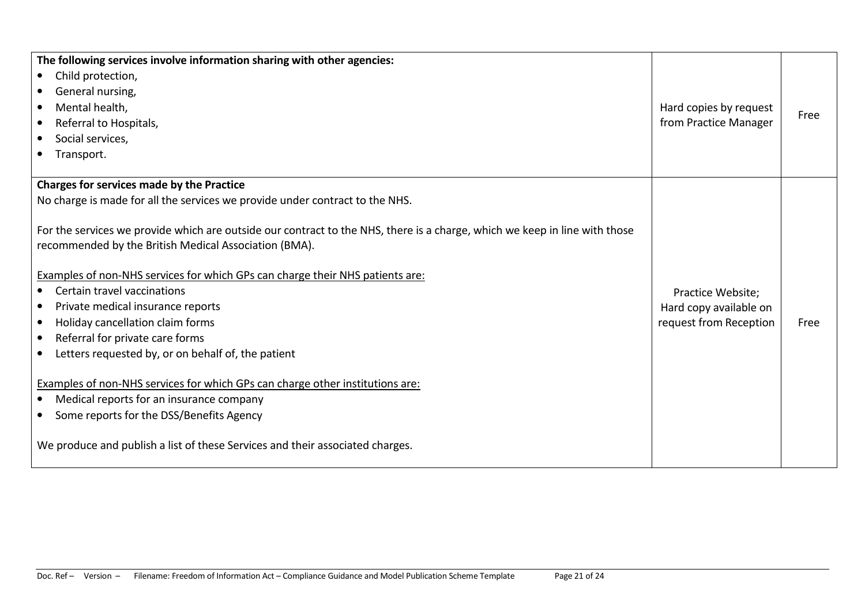| The following services involve information sharing with other agencies:                                                    |                        |      |
|----------------------------------------------------------------------------------------------------------------------------|------------------------|------|
| Child protection,<br>$\bullet$                                                                                             |                        |      |
| General nursing,<br>$\bullet$                                                                                              |                        |      |
| Mental health,<br>$\bullet$                                                                                                | Hard copies by request |      |
| Referral to Hospitals,<br>$\bullet$                                                                                        | from Practice Manager  | Free |
| Social services,                                                                                                           |                        |      |
| Transport.                                                                                                                 |                        |      |
|                                                                                                                            |                        |      |
| Charges for services made by the Practice                                                                                  |                        |      |
| No charge is made for all the services we provide under contract to the NHS.                                               |                        |      |
|                                                                                                                            |                        |      |
| For the services we provide which are outside our contract to the NHS, there is a charge, which we keep in line with those |                        |      |
| recommended by the British Medical Association (BMA).                                                                      |                        |      |
|                                                                                                                            |                        |      |
| Examples of non-NHS services for which GPs can charge their NHS patients are:                                              |                        |      |
| Certain travel vaccinations                                                                                                | Practice Website;      |      |
| Private medical insurance reports<br>$\bullet$                                                                             | Hard copy available on |      |
| Holiday cancellation claim forms<br>$\bullet$                                                                              | request from Reception | Free |
| Referral for private care forms<br>$\bullet$                                                                               |                        |      |
| Letters requested by, or on behalf of, the patient                                                                         |                        |      |
|                                                                                                                            |                        |      |
| Examples of non-NHS services for which GPs can charge other institutions are:                                              |                        |      |
| Medical reports for an insurance company                                                                                   |                        |      |
| Some reports for the DSS/Benefits Agency                                                                                   |                        |      |
| We produce and publish a list of these Services and their associated charges.                                              |                        |      |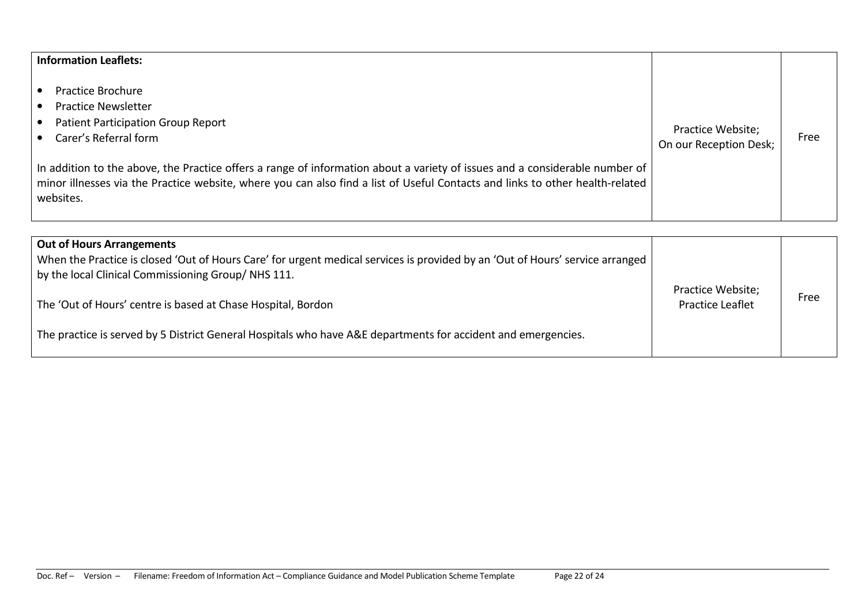## Information Leaflets:

- Practice Brochure
- $\bullet$ Practice Newsletter
- Patient Participation Group Report
- Carer's Referral form

| In addition to the above, the Practice offers a range of information about a variety of issues and a considerable number of $ $               |  |
|-----------------------------------------------------------------------------------------------------------------------------------------------|--|
| $\vert$ minor illnesses via the Practice website, where you can also find a list of Useful Contacts and links to other health-related $\vert$ |  |
| websites.                                                                                                                                     |  |
|                                                                                                                                               |  |

Practice Website;

Practice website,<br>On our Reception Desk;

| <b>Out of Hours Arrangements</b><br>When the Practice is closed 'Out of Hours Care' for urgent medical services is provided by an 'Out of Hours' service arranged<br>by the local Clinical Commissioning Group/NHS 111. | Practice Website;       |      |
|-------------------------------------------------------------------------------------------------------------------------------------------------------------------------------------------------------------------------|-------------------------|------|
| The 'Out of Hours' centre is based at Chase Hospital, Bordon                                                                                                                                                            | <b>Practice Leaflet</b> | Free |
| The practice is served by 5 District General Hospitals who have A&E departments for accident and emergencies.                                                                                                           |                         |      |